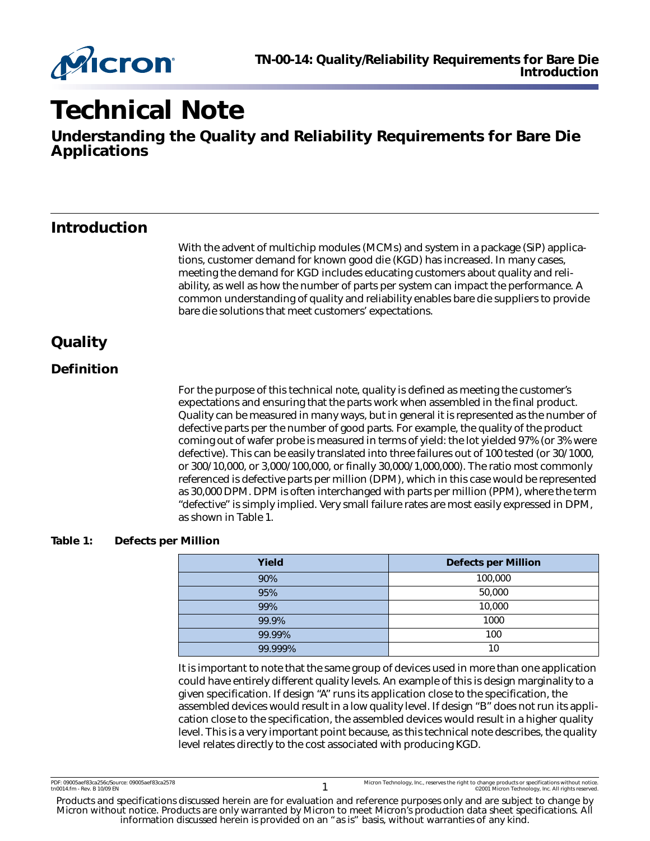

# **Technical Note**

**Understanding the Quality and Reliability Requirements for Bare Die Applications**

### **Introduction**

With the advent of multichip modules (MCMs) and system in a package (SiP) applications, customer demand for known good die (KGD) has increased. In many cases, meeting the demand for KGD includes educating customers about quality and reliability, as well as how the number of parts per system can impact the performance. A common understanding of quality and reliability enables bare die suppliers to provide bare die solutions that meet customers' expectations.

### **Quality**

### **Definition**

For the purpose of this technical note, quality is defined as meeting the customer's expectations and ensuring that the parts work when assembled in the final product. Quality can be measured in many ways, but in general it is represented as the number of defective parts per the number of good parts. For example, the quality of the product coming out of wafer probe is measured in terms of yield: the lot yielded 97% (or 3% were defective). This can be easily translated into three failures out of 100 tested (or 30/1000, or 300/10,000, or 3,000/100,000, or finally 30,000/1,000,000). The ratio most commonly referenced is defective parts per million (DPM), which in this case would be represented as 30,000 DPM. DPM is often interchanged with parts per million (PPM), where the term "defective" is simply implied. Very small failure rates are most easily expressed in DPM, as shown in [Table 1](#page-0-0).

#### <span id="page-0-0"></span>**Table 1: Defects per Million**

| Yield   | <b>Defects per Million</b> |
|---------|----------------------------|
| 90%     | 100,000                    |
| 95%     | 50,000                     |
| 99%     | 10,000                     |
| 99.9%   | 1000                       |
| 99.99%  | 100                        |
| 99.999% | 10                         |

It is important to note that the same group of devices used in more than one application could have entirely different quality levels. An example of this is design marginality to a given specification. If design "A" runs its application close to the specification, the assembled devices would result in a low quality level. If design "B" does not run its application close to the specification, the assembled devices would result in a higher quality level. This is a very important point because, as this technical note describes, the quality level relates directly to the cost associated with producing KGD.

Products and specifications discussed herein are for evaluation and reference purposes only and are subject to change by Micron without notice. Products are only warranted by Micron to meet Micron's production data sheet specifications. All information discussed herein is provided on an "as is" basis, without warranties of any kind.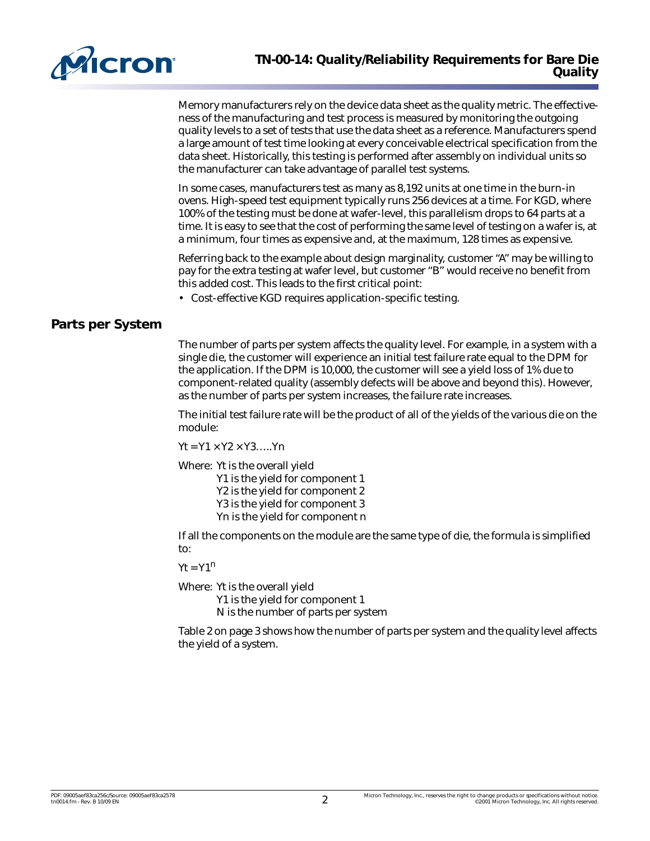

Memory manufacturers rely on the device data sheet as the quality metric. The effectiveness of the manufacturing and test process is measured by monitoring the outgoing quality levels to a set of tests that use the data sheet as a reference. Manufacturers spend a large amount of test time looking at every conceivable electrical specification from the data sheet. Historically, this testing is performed after assembly on individual units so the manufacturer can take advantage of parallel test systems.

In some cases, manufacturers test as many as 8,192 units at one time in the burn-in ovens. High-speed test equipment typically runs 256 devices at a time. For KGD, where 100% of the testing must be done at wafer-level, this parallelism drops to 64 parts at a time. It is easy to see that the cost of performing the same level of testing on a wafer is, at a minimum, four times as expensive and, at the maximum, 128 times as expensive.

Referring back to the example about design marginality, customer "A" may be willing to pay for the extra testing at wafer level, but customer "B" would receive no benefit from this added cost. This leads to the first critical point:

• Cost-effective KGD requires application-specific testing.

#### **Parts per System**

The number of parts per system affects the quality level. For example, in a system with a single die, the customer will experience an initial test failure rate equal to the DPM for the application. If the DPM is 10,000, the customer will see a yield loss of 1% due to component-related quality (assembly defects will be above and beyond this). However, as the number of parts per system increases, the failure rate increases.

The initial test failure rate will be the product of all of the yields of the various die on the module:

 $Yt = Y1 \times Y2 \times Y3$ ..... $Yn$ 

Where: Yt is the overall yield Y1 is the yield for component 1 Y2 is the yield for component 2 Y3 is the yield for component 3 Yn is the yield for component n

If all the components on the module are the same type of die, the formula is simplified to:

 $Yt = Y1<sup>n</sup>$ 

Where: Yt is the overall yield Y1 is the yield for component 1 N is the number of parts per system

[Table 2 on page 3](#page-2-0) shows how the number of parts per system and the quality level affects the yield of a system.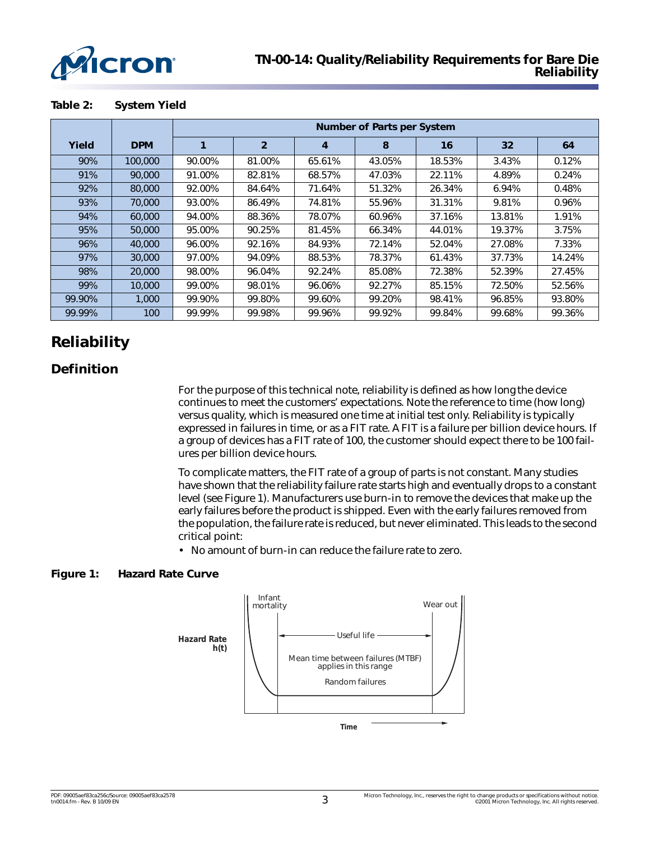

<span id="page-2-0"></span>

|        |            | <b>Number of Parts per System</b> |                |        |        |        |                 |        |
|--------|------------|-----------------------------------|----------------|--------|--------|--------|-----------------|--------|
| Yield  | <b>DPM</b> |                                   | $\overline{2}$ | 4      | 8      | 16     | 32 <sub>2</sub> | 64     |
| 90%    | 100,000    | 90.00%                            | 81.00%         | 65.61% | 43.05% | 18.53% | 3.43%           | 0.12%  |
| 91%    | 90,000     | 91.00%                            | 82.81%         | 68.57% | 47.03% | 22.11% | 4.89%           | 0.24%  |
| 92%    | 80,000     | 92.00%                            | 84.64%         | 71.64% | 51.32% | 26.34% | 6.94%           | 0.48%  |
| 93%    | 70,000     | 93.00%                            | 86.49%         | 74.81% | 55.96% | 31.31% | 9.81%           | 0.96%  |
| 94%    | 60,000     | 94.00%                            | 88.36%         | 78.07% | 60.96% | 37.16% | 13.81%          | 1.91%  |
| 95%    | 50,000     | 95.00%                            | 90.25%         | 81.45% | 66.34% | 44.01% | 19.37%          | 3.75%  |
| 96%    | 40,000     | 96.00%                            | 92.16%         | 84.93% | 72.14% | 52.04% | 27.08%          | 7.33%  |
| 97%    | 30,000     | 97.00%                            | 94.09%         | 88.53% | 78.37% | 61.43% | 37.73%          | 14.24% |
| 98%    | 20,000     | 98.00%                            | 96.04%         | 92.24% | 85.08% | 72.38% | 52.39%          | 27.45% |
| 99%    | 10,000     | 99.00%                            | 98.01%         | 96.06% | 92.27% | 85.15% | 72.50%          | 52.56% |
| 99.90% | 1.000      | 99.90%                            | 99.80%         | 99.60% | 99.20% | 98.41% | 96.85%          | 93.80% |
| 99.99% | 100        | 99.99%                            | 99.98%         | 99.96% | 99.92% | 99.84% | 99.68%          | 99.36% |

### **Reliability**

### **Definition**

For the purpose of this technical note, reliability is defined as *how long* the device continues to meet the customers' expectations. Note the reference to time (how long) versus quality, which is measured one time at initial test only. Reliability is typically expressed in failures in time, or as a FIT rate. A FIT is a failure per billion device hours. If a group of devices has a FIT rate of 100, the customer should expect there to be 100 failures per billion device hours.

To complicate matters, the FIT rate of a group of parts is not constant. Many studies have shown that the reliability failure rate starts high and eventually drops to a constant level (see [Figure 1\)](#page-2-1). Manufacturers use burn-in to remove the devices that make up the early failures before the product is shipped. Even with the early failures removed from the population, the failure rate is reduced, but never eliminated. This leads to the second critical point:

• No amount of burn-in can reduce the failure rate to zero.

#### <span id="page-2-1"></span>**Figure 1: Hazard Rate Curve**

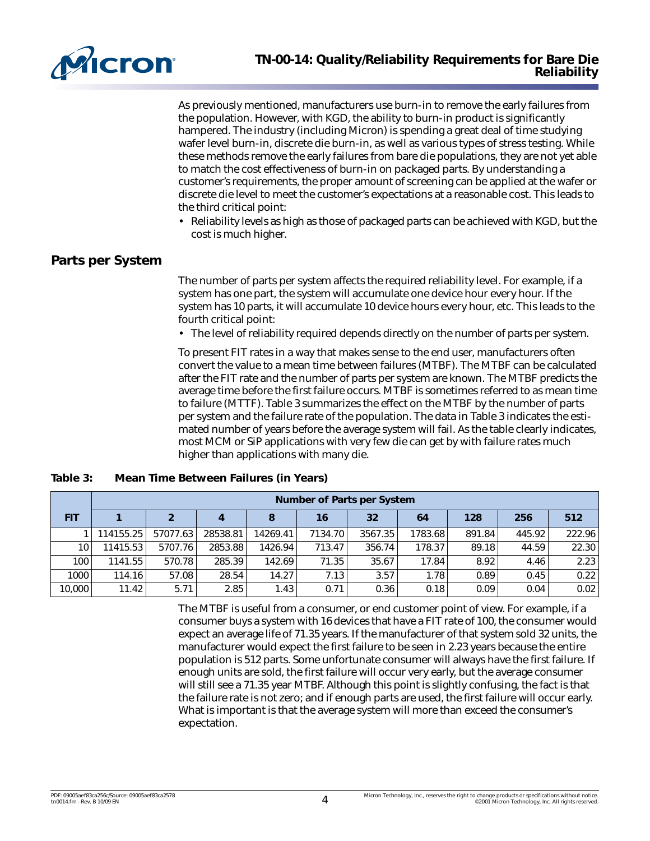

As previously mentioned, manufacturers use burn-in to remove the early failures from the population. However, with KGD, the ability to burn-in product is significantly hampered. The industry (including Micron) is spending a great deal of time studying wafer level burn-in, discrete die burn-in, as well as various types of stress testing. While these methods remove the early failures from bare die populations, they are not yet able to match the cost effectiveness of burn-in on packaged parts. By understanding a customer's requirements, the proper amount of screening can be applied at the wafer or discrete die level to meet the customer's expectations at a reasonable cost. This leads to the third critical point:

• Reliability levels as high as those of packaged parts can be achieved with KGD, but the cost is much higher.

#### **Parts per System**

The number of parts per system affects the required reliability level. For example, if a system has one part, the system will accumulate one device hour every hour. If the system has 10 parts, it will accumulate 10 device hours every hour, etc. This leads to the fourth critical point:

• The level of reliability required depends directly on the number of parts per system.

To present FIT rates in a way that makes sense to the end user, manufacturers often convert the value to a mean time between failures (MTBF). The MTBF can be calculated after the FIT rate and the number of parts per system are known. The MTBF predicts the average time before the first failure occurs. MTBF is sometimes referred to as mean time to failure (MTTF). [Table 3](#page-3-0) summarizes the effect on the MTBF by the number of parts per system and the failure rate of the population. The data in [Table 3](#page-3-0) indicates the estimated number of years before the average system will fail. As the table clearly indicates, most MCM or SiP applications with very few die can get by with failure rates much higher than applications with many die.

|                  | <b>Number of Parts per System</b> |          |          |          |         |         |         |        |        |        |
|------------------|-----------------------------------|----------|----------|----------|---------|---------|---------|--------|--------|--------|
| <b>FIT</b>       |                                   |          |          | 8        | 16      | 32      | 64      | 128    | 256    | 512    |
|                  | 114155.25                         | 57077.63 | 28538.81 | 14269.41 | 7134.70 | 3567.35 | 1783.68 | 891.84 | 445.92 | 222.96 |
| 10 <sup>1</sup>  | 11415.53                          | 5707.76  | 2853.88  | 1426.94  | 713.47  | 356.74  | 178.37  | 89.18  | 44.59  | 22.30  |
| 100 <sub>1</sub> | 1141.55                           | 570.78   | 285.39   | 142.69   | 71.35   | 35.67   | 17.84   | 8.92   | 4.46   | 2.23   |
| 1000             | 114.16                            | 57.08    | 28.54    | 14.27    | 7.13    | 3.57    | 1.78    | 0.89   | 0.45   | 0.22   |
| 10,000           | 11.42                             | 5.71     | 2.85     | 1.43     | 0.71    | 0.36    | 0.18    | 0.09   | 0.04   | 0.02   |

<span id="page-3-0"></span>**Table 3: Mean Time Between Failures (in Years)**

The MTBF is useful from a consumer, or end customer point of view. For example, if a consumer buys a system with 16 devices that have a FIT rate of 100, the consumer would expect an average life of 71.35 years. If the manufacturer of that system sold 32 units, the manufacturer would expect the first failure to be seen in 2.23 years because the entire population is 512 parts. Some unfortunate consumer will always have the first failure. If enough units are sold, the first failure will occur very early, but the average consumer will still see a 71.35 year MTBF. Although this point is slightly confusing, the fact is that the failure rate is not zero; and if enough parts are used, the first failure will occur early. What is important is that the average system will more than exceed the consumer's expectation.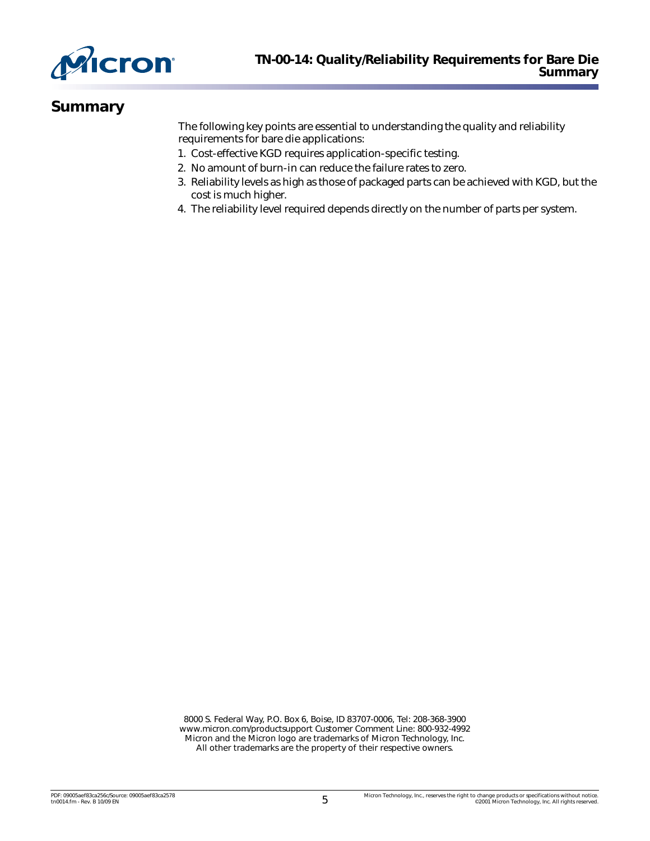

### **Summary**

The following key points are essential to understanding the quality and reliability requirements for bare die applications:

- 1. Cost-effective KGD requires application-specific testing.
- 2. No amount of burn-in can reduce the failure rates to zero.
- 3. Reliability levels as high as those of packaged parts can be achieved with KGD, but the cost is much higher.
- 4. The reliability level required depends directly on the number of parts per system.

8000 S. Federal Way, P.O. Box 6, Boise, ID 83707-0006, Tel: 208-368-3900 [www.micron.com/productsupport Customer Comment Line: 800-932-4992](http://www.micron.com/support/productsupport.aspx) Micron and the Micron logo are trademarks of Micron Technology, Inc. All other trademarks are the property of their respective owners.